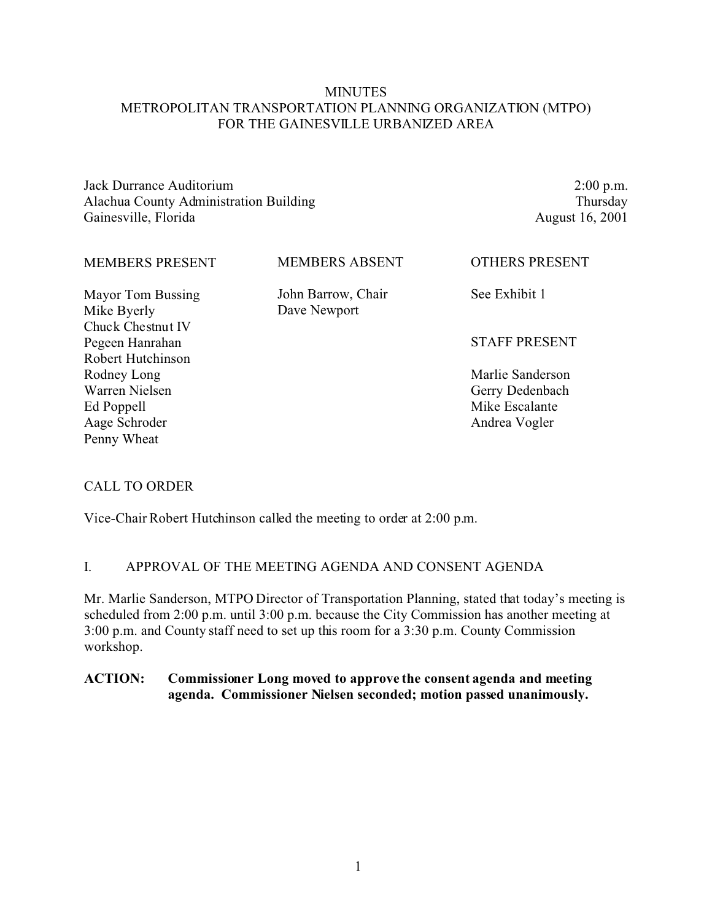## **MINUTES** METROPOLITAN TRANSPORTATION PLANNING ORGANIZATION (MTPO) FOR THE GAINESVILLE URBANIZED AREA

Jack Durrance Auditorium Alachua County Administration Building Gainesville, Florida

2:00 p.m. Thursday August 16, 2001

| <b>MEMBERS PRESENT</b>           | <b>MEMBERS ABSENT</b>              | <b>OTHERS PRESENT</b> |
|----------------------------------|------------------------------------|-----------------------|
| Mayor Tom Bussing<br>Mike Byerly | John Barrow, Chair<br>Dave Newport | See Exhibit 1         |
| Chuck Chestnut IV                |                                    |                       |
| Pegeen Hanrahan                  |                                    | <b>STAFF PRESENT</b>  |
| Robert Hutchinson                |                                    |                       |
| Rodney Long                      |                                    | Marlie Sanderson      |
| Warren Nielsen                   |                                    | Gerry Dedenbach       |
| Ed Poppell                       |                                    | Mike Escalante        |
| Aage Schroder                    |                                    | Andrea Vogler         |

### CALL TO ORDER

Penny Wheat

Vice-Chair Robert Hutchinson called the meeting to order at 2:00 p.m.

#### I. APPROVAL OF THE MEETING AGENDA AND CONSENT AGENDA

Mr. Marlie Sanderson, MTPO Director of Transportation Planning, stated that today's meeting is scheduled from 2:00 p.m. until 3:00 p.m. because the City Commission has another meeting at 3:00 p.m. and County staff need to set up this room for a 3:30 p.m. County Commission workshop.

## **ACTION: Commissioner Long moved to approve the consent agenda and meeting agenda. Commissioner Nielsen seconded; motion passed unanimously.**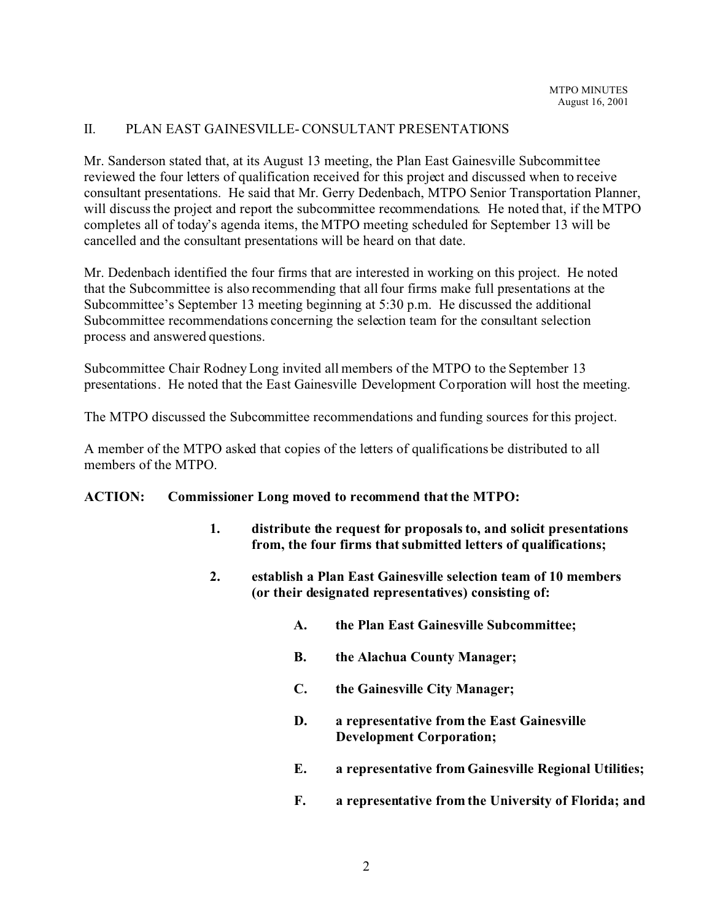## II. PLAN EAST GAINESVILLE- CONSULTANT PRESENTATIONS

Mr. Sanderson stated that, at its August 13 meeting, the Plan East Gainesville Subcommittee reviewed the four letters of qualification received for this project and discussed when to receive consultant presentations. He said that Mr. Gerry Dedenbach, MTPO Senior Transportation Planner, will discuss the project and report the subcommittee recommendations. He noted that, if the MTPO completes all of today's agenda items, the MTPO meeting scheduled for September 13 will be cancelled and the consultant presentations will be heard on that date.

Mr. Dedenbach identified the four firms that are interested in working on this project. He noted that the Subcommittee is also recommending that all four firms make full presentations at the Subcommittee's September 13 meeting beginning at 5:30 p.m. He discussed the additional Subcommittee recommendations concerning the selection team for the consultant selection process and answered questions.

Subcommittee Chair Rodney Long invited all members of the MTPO to the September 13 presentations. He noted that the East Gainesville Development Corporation will host the meeting.

The MTPO discussed the Subcommittee recommendations and funding sources for this project.

A member of the MTPO asked that copies of the letters of qualifications be distributed to all members of the MTPO.

### **ACTION: Commissioner Long moved to recommend that the MTPO:**

- **1. distribute the request for proposals to, and solicit presentations from, the four firms that submitted letters of qualifications;**
- **2. establish a Plan East Gainesville selection team of 10 members (or their designated representatives) consisting of:**
	- **A. the Plan East Gainesville Subcommittee;**
	- **B. the Alachua County Manager;**
	- **C. the Gainesville City Manager;**
	- **D. a representative from the East Gainesville Development Corporation;**
	- **E. a representative from Gainesville Regional Utilities;**
	- **F. a representative from the University of Florida; and**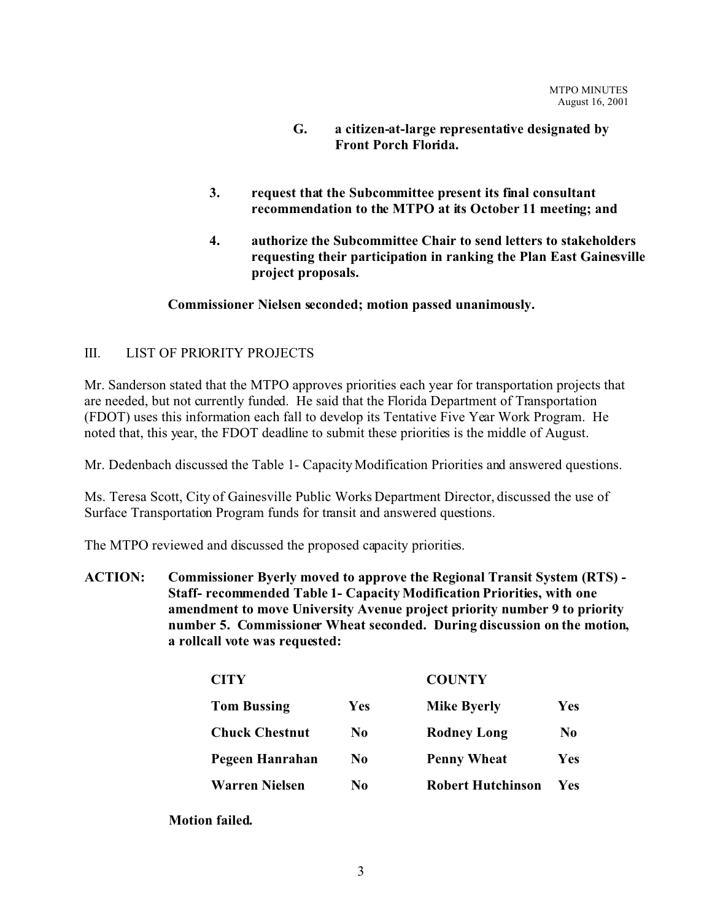- **G. a citizen-at-large representative designated by Front Porch Florida.**
- **3. request that the Subcommittee present its final consultant recommendation to the MTPO at its October 11 meeting; and**
- **4. authorize the Subcommittee Chair to send letters to stakeholders requesting their participation in ranking the Plan East Gainesville project proposals.**

### **Commissioner Nielsen seconded; motion passed unanimously.**

## III. LIST OF PRIORITY PROJECTS

Mr. Sanderson stated that the MTPO approves priorities each year for transportation projects that are needed, but not currently funded. He said that the Florida Department of Transportation (FDOT) uses this information each fall to develop its Tentative Five Year Work Program. He noted that, this year, the FDOT deadline to submit these priorities is the middle of August.

Mr. Dedenbach discussed the Table 1- Capacity Modification Priorities and answered questions.

Ms. Teresa Scott, City of Gainesville Public Works Department Director, discussed the use of Surface Transportation Program funds for transit and answered questions.

The MTPO reviewed and discussed the proposed capacity priorities.

**ACTION: Commissioner Byerly moved to approve the Regional Transit System (RTS) - Staff- recommended Table 1- Capacity Modification Priorities, with one amendment to move University Avenue project priority number 9 to priority number 5. Commissioner Wheat seconded. During discussion on the motion, a rollcall vote was requested:**

| <b>CITY</b>           |                | <b>COUNTY</b>            |                |
|-----------------------|----------------|--------------------------|----------------|
| <b>Tom Bussing</b>    | Yes            | <b>Mike Byerly</b>       | Yes            |
| <b>Chuck Chestnut</b> | N0             | <b>Rodney Long</b>       | N <sub>0</sub> |
| Pegeen Hanrahan       | No.            | <b>Penny Wheat</b>       | Yes            |
| <b>Warren Nielsen</b> | N <sub>0</sub> | <b>Robert Hutchinson</b> | Yes            |

**Motion failed.**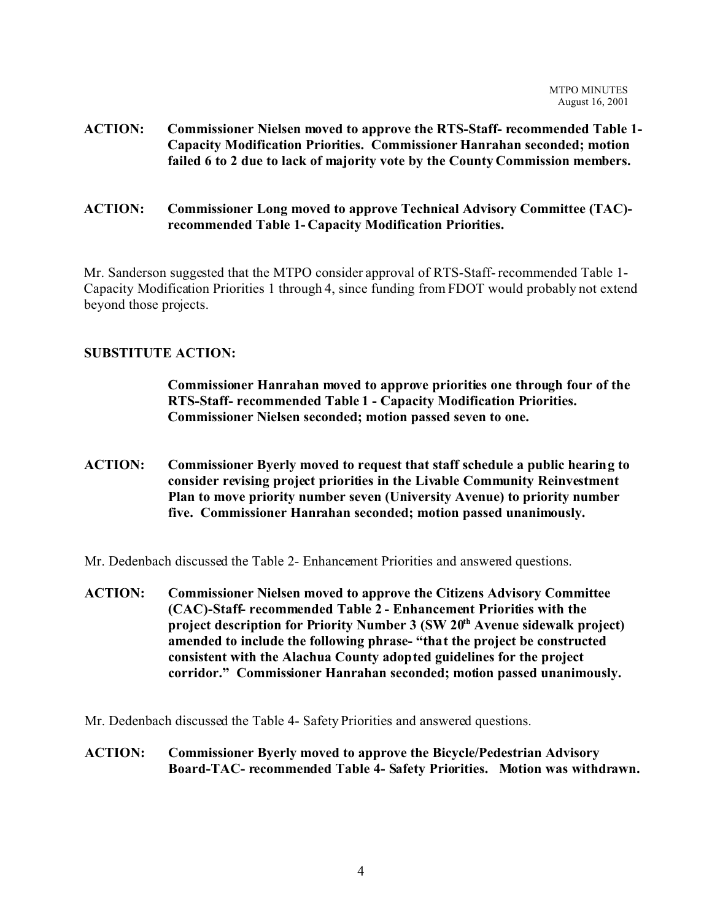- **ACTION: Commissioner Nielsen moved to approve the RTS-Staff- recommended Table 1- Capacity Modification Priorities. Commissioner Hanrahan seconded; motion failed 6 to 2 due to lack of majority vote by the County Commission members.**
- **ACTION: Commissioner Long moved to approve Technical Advisory Committee (TAC) recommended Table 1- Capacity Modification Priorities.**

Mr. Sanderson suggested that the MTPO consider approval of RTS-Staff- recommended Table 1- Capacity Modification Priorities 1 through 4, since funding from FDOT would probably not extend beyond those projects.

## **SUBSTITUTE ACTION:**

**Commissioner Hanrahan moved to approve priorities one through four of the RTS-Staff- recommended Table 1 - Capacity Modification Priorities. Commissioner Nielsen seconded; motion passed seven to one.**

**ACTION: Commissioner Byerly moved to request that staff schedule a public hearing to consider revising project priorities in the Livable Community Reinvestment Plan to move priority number seven (University Avenue) to priority number five. Commissioner Hanrahan seconded; motion passed unanimously.**

Mr. Dedenbach discussed the Table 2- Enhancement Priorities and answered questions.

**ACTION: Commissioner Nielsen moved to approve the Citizens Advisory Committee (CAC)-Staff- recommended Table 2 - Enhancement Priorities with the project description for Priority Number 3 (SW 20th Avenue sidewalk project) amended to include the following phrase- "that the project be constructed consistent with the Alachua County adopted guidelines for the project corridor." Commissioner Hanrahan seconded; motion passed unanimously.**

Mr. Dedenbach discussed the Table 4- Safety Priorities and answered questions.

**ACTION: Commissioner Byerly moved to approve the Bicycle/Pedestrian Advisory Board-TAC- recommended Table 4- Safety Priorities. Motion was withdrawn.**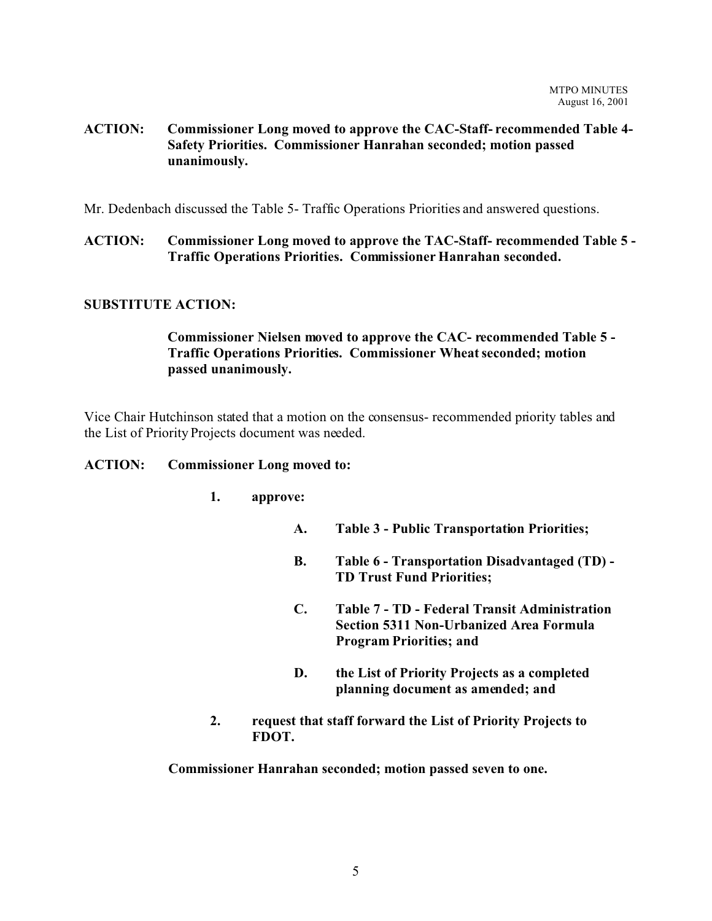## **ACTION: Commissioner Long moved to approve the CAC-Staff- recommended Table 4- Safety Priorities. Commissioner Hanrahan seconded; motion passed unanimously.**

Mr. Dedenbach discussed the Table 5- Traffic Operations Priorities and answered questions.

**ACTION: Commissioner Long moved to approve the TAC-Staff- recommended Table 5 - Traffic Operations Priorities. Commissioner Hanrahan seconded.**

### **SUBSTITUTE ACTION:**

# **Commissioner Nielsen moved to approve the CAC- recommended Table 5 - Traffic Operations Priorities. Commissioner Wheat seconded; motion passed unanimously.**

Vice Chair Hutchinson stated that a motion on the consensus- recommended priority tables and the List of Priority Projects document was needed.

#### **ACTION: Commissioner Long moved to:**

### **1. approve:**

- **A. Table 3 Public Transportation Priorities;**
- **B. Table 6 Transportation Disadvantaged (TD) - TD Trust Fund Priorities;**
- **C. Table 7 TD Federal Transit Administration Section 5311 Non-Urbanized Area Formula Program Priorities; and**
- **D. the List of Priority Projects as a completed planning document as amended; and**
- **2. request that staff forward the List of Priority Projects to FDOT.**

**Commissioner Hanrahan seconded; motion passed seven to one.**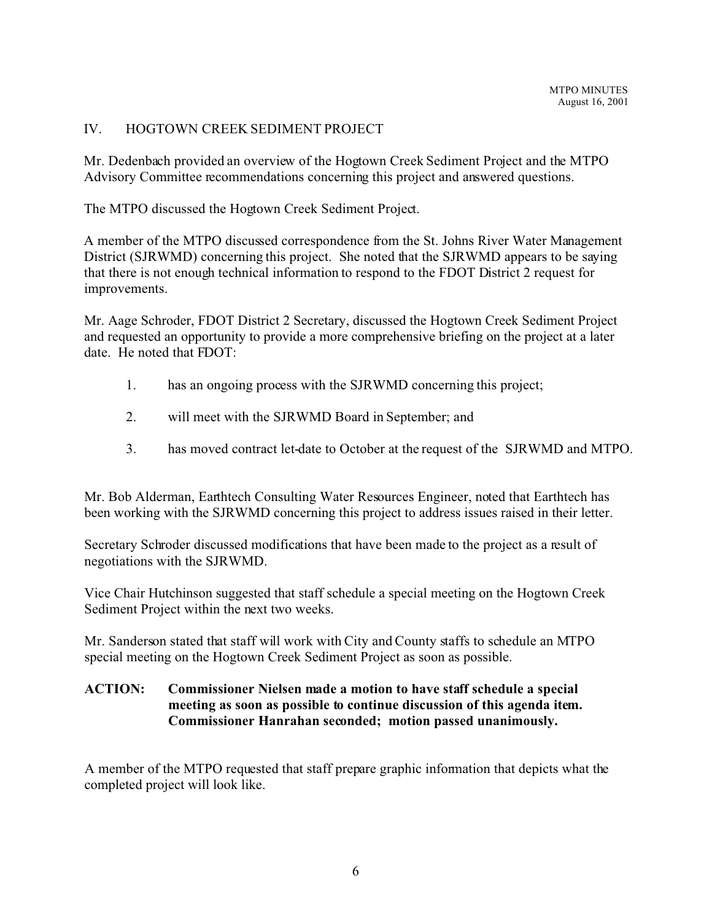## IV. HOGTOWN CREEK SEDIMENT PROJECT

Mr. Dedenbach provided an overview of the Hogtown Creek Sediment Project and the MTPO Advisory Committee recommendations concerning this project and answered questions.

The MTPO discussed the Hogtown Creek Sediment Project.

A member of the MTPO discussed correspondence from the St. Johns River Water Management District (SJRWMD) concerning this project. She noted that the SJRWMD appears to be saying that there is not enough technical information to respond to the FDOT District 2 request for improvements.

Mr. Aage Schroder, FDOT District 2 Secretary, discussed the Hogtown Creek Sediment Project and requested an opportunity to provide a more comprehensive briefing on the project at a later date. He noted that FDOT:

- 1. has an ongoing process with the SJRWMD concerning this project;
- 2. will meet with the SJRWMD Board in September; and
- 3. has moved contract let-date to October at the request of the SJRWMD and MTPO.

Mr. Bob Alderman, Earthtech Consulting Water Resources Engineer, noted that Earthtech has been working with the SJRWMD concerning this project to address issues raised in their letter.

Secretary Schroder discussed modifications that have been made to the project as a result of negotiations with the SJRWMD.

Vice Chair Hutchinson suggested that staff schedule a special meeting on the Hogtown Creek Sediment Project within the next two weeks.

Mr. Sanderson stated that staff will work with City and County staffs to schedule an MTPO special meeting on the Hogtown Creek Sediment Project as soon as possible.

## **ACTION: Commissioner Nielsen made a motion to have staff schedule a special meeting as soon as possible to continue discussion of this agenda item. Commissioner Hanrahan seconded; motion passed unanimously.**

A member of the MTPO requested that staff prepare graphic information that depicts what the completed project will look like.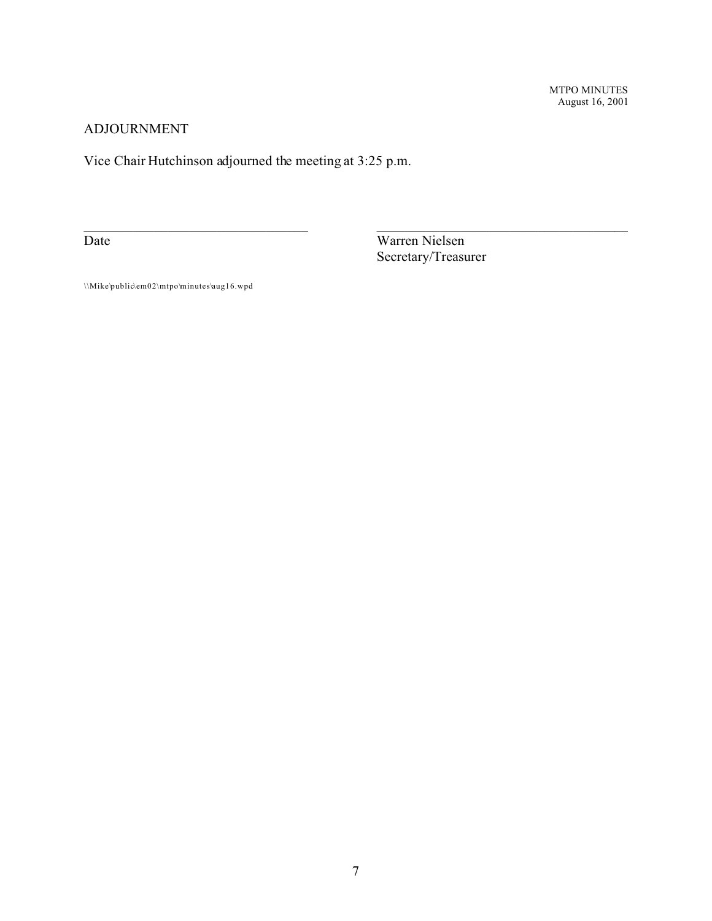MTPO MINUTES August 16, 2001

## ADJOURNMENT

Vice Chair Hutchinson adjourned the meeting at 3:25 p.m.

Date Warren Nielsen Secretary/Treasurer

 $\_$  , and the contribution of the contribution of  $\_$  . The contribution of the contribution of  $\mathcal{L}_\mathcal{A}$ 

\\Mike\public\em02\mtpo\minutes\aug16.wpd